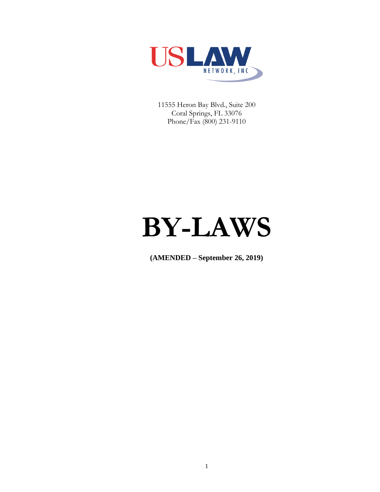

11555 Heron Bay Blvd., Suite 200 Coral Springs, FL 33076 Phone/Fax (800) 231-9110

# **BY-LAWS**

**(AMENDED – September 26, 2019)**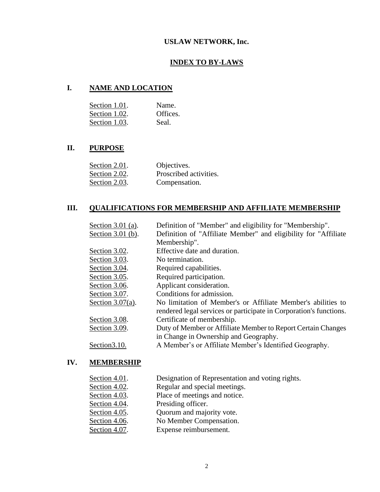# **USLAW NETWORK, Inc.**

# **INDEX TO BY-LAWS**

# **I. NAME AND LOCATION**

| Section 1.01. | Name.    |
|---------------|----------|
| Section 1.02. | Offices. |
| Section 1.03. | Seal.    |

# **II. PURPOSE**

| Section 2.01. | Objectives.            |
|---------------|------------------------|
| Section 2.02. | Proscribed activities. |
| Section 2.03. | Compensation.          |

# **III. QUALIFICATIONS FOR MEMBERSHIP AND AFFILIATE MEMBERSHIP**

| Section $3.01$ (a). | Definition of "Member" and eligibility for "Membership".                                                                           |
|---------------------|------------------------------------------------------------------------------------------------------------------------------------|
| Section $3.01$ (b). | Definition of "Affiliate Member" and eligibility for "Affiliate"                                                                   |
|                     | Membership".                                                                                                                       |
| Section 3.02.       | Effective date and duration.                                                                                                       |
| Section 3.03.       | No termination.                                                                                                                    |
| Section 3.04.       | Required capabilities.                                                                                                             |
| Section 3.05.       | Required participation.                                                                                                            |
| Section 3.06.       | Applicant consideration.                                                                                                           |
| Section 3.07.       | Conditions for admission.                                                                                                          |
| Section $3.07(a)$ . | No limitation of Member's or Affiliate Member's abilities to<br>rendered legal services or participate in Corporation's functions. |
| Section 3.08.       | Certificate of membership.                                                                                                         |
| Section 3.09.       | Duty of Member or Affiliate Member to Report Certain Changes<br>in Change in Ownership and Geography.                              |
| Section 3.10.       | A Member's or Affiliate Member's Identified Geography.                                                                             |

# **IV. MEMBERSHIP**

| Section 4.01. | Designation of Representation and voting rights. |
|---------------|--------------------------------------------------|
| Section 4.02. | Regular and special meetings.                    |
| Section 4.03. | Place of meetings and notice.                    |
| Section 4.04. | Presiding officer.                               |
| Section 4.05. | Quorum and majority vote.                        |
| Section 4.06. | No Member Compensation.                          |
| Section 4.07. | Expense reimbursement.                           |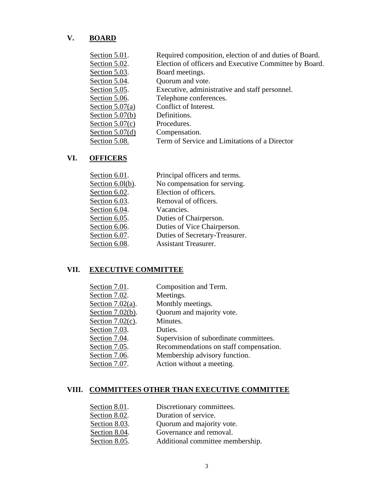# **V. BOARD**

| Section 5.01.     | Required composition, election of and duties of Board. |
|-------------------|--------------------------------------------------------|
| Section 5.02.     | Election of officers and Executive Committee by Board. |
| Section 5.03.     | Board meetings.                                        |
| Section 5.04.     | Quorum and vote.                                       |
| Section 5.05.     | Executive, administrative and staff personnel.         |
| Section 5.06.     | Telephone conferences.                                 |
| Section $5.07(a)$ | Conflict of Interest.                                  |
| Section $5.07(b)$ | Definitions.                                           |
| Section $5.07(c)$ | Procedures.                                            |
| Section $5.07(d)$ | Compensation.                                          |
| Section 5.08.     | Term of Service and Limitations of a Director          |

# **VI. OFFICERS**

| Section $6.01$ .    | Principal officers and terms.  |
|---------------------|--------------------------------|
| Section $6.01(b)$ . | No compensation for serving.   |
| Section 6.02.       | Election of officers.          |
| Section 6.03.       | Removal of officers.           |
| Section 6.04.       | Vacancies.                     |
| Section 6.05.       | Duties of Chairperson.         |
| Section 6.06.       | Duties of Vice Chairperson.    |
| Section 6.07.       | Duties of Secretary-Treasurer. |
| Section 6.08.       | <b>Assistant Treasurer.</b>    |

# **VII. EXECUTIVE COMMITTEE**

| Section 7.01.       | Composition and Term.                  |
|---------------------|----------------------------------------|
| Section 7.02.       | Meetings.                              |
| Section $7.02(a)$ . | Monthly meetings.                      |
| Section $7.02(b)$ . | Quorum and majority vote.              |
| Section $7.02(c)$ . | Minutes.                               |
| Section 7.03.       | Duties.                                |
| Section 7.04.       | Supervision of subordinate committees. |
| Section $7.05$ .    | Recommendations on staff compensation. |
| Section 7.06.       | Membership advisory function.          |
| Section 7.07.       | Action without a meeting.              |
|                     |                                        |

# **VIII. COMMITTEES OTHER THAN EXECUTIVE COMMITTEE**

| Section 8.01. | Discretionary committees.        |
|---------------|----------------------------------|
| Section 8.02. | Duration of service.             |
| Section 8.03. | Quorum and majority vote.        |
| Section 8.04. | Governance and removal.          |
| Section 8.05. | Additional committee membership. |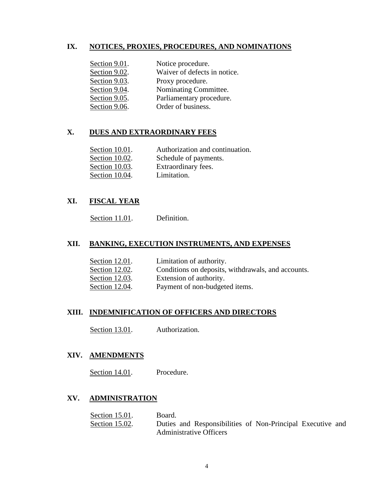# **IX. NOTICES, PROXIES, PROCEDURES, AND NOMINATIONS**

| Section 9.01. | Notice procedure.            |
|---------------|------------------------------|
| Section 9.02. | Waiver of defects in notice. |
| Section 9.03. | Proxy procedure.             |
| Section 9.04. | Nominating Committee.        |
| Section 9.05. | Parliamentary procedure.     |
| Section 9.06. | Order of business.           |

# **X. DUES AND EXTRAORDINARY FEES**

| Section 10.01. | Authorization and continuation. |
|----------------|---------------------------------|
| Section 10.02. | Schedule of payments.           |
| Section 10.03. | Extraordinary fees.             |
| Section 10.04. | Limitation.                     |

# **XI. FISCAL YEAR**

Section 11.01. Definition.

# **XII. BANKING, EXECUTION INSTRUMENTS, AND EXPENSES**

| Section 12.01. | Limitation of authority.                           |
|----------------|----------------------------------------------------|
| Section 12.02. | Conditions on deposits, withdrawals, and accounts. |
| Section 12.03. | Extension of authority.                            |
| Section 12.04. | Payment of non-budgeted items.                     |

# **XIII. INDEMNIFICATION OF OFFICERS AND DIRECTORS**

Section 13.01. Authorization.

# **XIV. AMENDMENTS**

Section 14.01. Procedure.

# **XV. ADMINISTRATION**

| Section 15.01. | Board.                         |                                                            |  |
|----------------|--------------------------------|------------------------------------------------------------|--|
| Section 15.02. |                                | Duties and Responsibilities of Non-Principal Executive and |  |
|                | <b>Administrative Officers</b> |                                                            |  |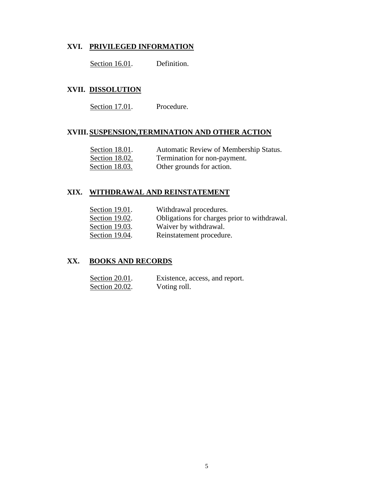# **XVI. PRIVILEGED INFORMATION**

Section 16.01. Definition.

# **XVII. DISSOLUTION**

Section 17.01. Procedure.

# **XVIII. SUSPENSION,TERMINATION AND OTHER ACTION**

| Section 18.01. | Automatic Review of Membership Status. |
|----------------|----------------------------------------|
| Section 18.02. | Termination for non-payment.           |
| Section 18.03. | Other grounds for action.              |

# **XIX. WITHDRAWAL AND REINSTATEMENT**

| Section 19.01. | Withdrawal procedures.                       |
|----------------|----------------------------------------------|
| Section 19.02. | Obligations for charges prior to withdrawal. |
| Section 19.03. | Waiver by withdrawal.                        |
| Section 19.04. | Reinstatement procedure.                     |

# **XX. BOOKS AND RECORDS**

| Section 20.01. | Existence, access, and report. |
|----------------|--------------------------------|
| Section 20.02. | Voting roll.                   |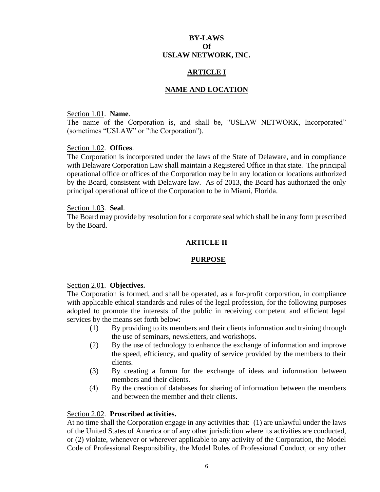# **BY-LAWS Of USLAW NETWORK, INC.**

# **ARTICLE I**

# **NAME AND LOCATION**

#### Section 1.01. **Name**.

The name of the Corporation is, and shall be, "USLAW NETWORK, Incorporated" (sometimes "USLAW" or "the Corporation").

#### Section 1.02. **Offices**.

The Corporation is incorporated under the laws of the State of Delaware, and in compliance with Delaware Corporation Law shall maintain a Registered Office in that state. The principal operational office or offices of the Corporation may be in any location or locations authorized by the Board, consistent with Delaware law. As of 2013, the Board has authorized the only principal operational office of the Corporation to be in Miami, Florida.

#### Section 1.03. **Seal**.

The Board may provide by resolution for a corporate seal which shall be in any form prescribed by the Board.

# **ARTICLE II**

# **PURPOSE**

#### Section 2.01. **Objectives.**

The Corporation is formed, and shall be operated, as a for-profit corporation, in compliance with applicable ethical standards and rules of the legal profession, for the following purposes adopted to promote the interests of the public in receiving competent and efficient legal services by the means set forth below:

- (1) By providing to its members and their clients information and training through the use of seminars, newsletters, and workshops.
- (2) By the use of technology to enhance the exchange of information and improve the speed, efficiency, and quality of service provided by the members to their clients.
- (3) By creating a forum for the exchange of ideas and information between members and their clients.
- (4) By the creation of databases for sharing of information between the members and between the member and their clients.

# Section 2.02. **Proscribed activities.**

At no time shall the Corporation engage in any activities that: (1) are unlawful under the laws of the United States of America or of any other jurisdiction where its activities are conducted, or (2) violate, whenever or wherever applicable to any activity of the Corporation, the Model Code of Professional Responsibility, the Model Rules of Professional Conduct, or any other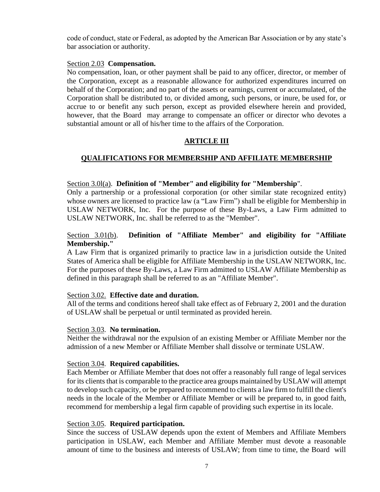code of conduct, state or Federal, as adopted by the American Bar Association or by any state's bar association or authority.

# Section 2.03 **Compensation.**

No compensation, loan, or other payment shall be paid to any officer, director, or member of the Corporation, except as a reasonable allowance for authorized expenditures incurred on behalf of the Corporation; and no part of the assets or earnings, current or accumulated, of the Corporation shall be distributed to, or divided among, such persons, or inure, be used for, or accrue to or benefit any such person, except as provided elsewhere herein and provided, however, that the Board may arrange to compensate an officer or director who devotes a substantial amount or all of his/her time to the affairs of the Corporation.

# **ARTICLE III**

# **QUALIFICATIONS FOR MEMBERSHIP AND AFFILIATE MEMBERSHIP**

# Section 3.0l(a). **Definition of "Member" and eligibility for "Membership**".

Only a partnership or a professional corporation (or other similar state recognized entity) whose owners are licensed to practice law (a "Law Firm") shall be eligible for Membership in USLAW NETWORK, Inc. For the purpose of these By-Laws, a Law Firm admitted to USLAW NETWORK, Inc. shall be referred to as the "Member".

# Section 3.01(b). **Definition of "Affiliate Member" and eligibility for "Affiliate Membership."**

A Law Firm that is organized primarily to practice law in a jurisdiction outside the United States of America shall be eligible for Affiliate Membership in the USLAW NETWORK, Inc. For the purposes of these By-Laws, a Law Firm admitted to USLAW Affiliate Membership as defined in this paragraph shall be referred to as an "Affiliate Member".

# Section 3.02. **Effective date and duration.**

All of the terms and conditions hereof shall take effect as of February 2, 2001 and the duration of USLAW shall be perpetual or until terminated as provided herein.

# Section 3.03. **No termination.**

Neither the withdrawal nor the expulsion of an existing Member or Affiliate Member nor the admission of a new Member or Affiliate Member shall dissolve or terminate USLAW.

# Section 3.04. **Required capabilities.**

Each Member or Affiliate Member that does not offer a reasonably full range of legal services for its clients that is comparable to the practice area groups maintained by USLAW will attempt to develop such capacity, or be prepared to recommend to clients a law firm to fulfill the client's needs in the locale of the Member or Affiliate Member or will be prepared to, in good faith, recommend for membership a legal firm capable of providing such expertise in its locale.

# Section 3.05. **Required participation.**

Since the success of USLAW depends upon the extent of Members and Affiliate Members participation in USLAW, each Member and Affiliate Member must devote a reasonable amount of time to the business and interests of USLAW; from time to time, the Board will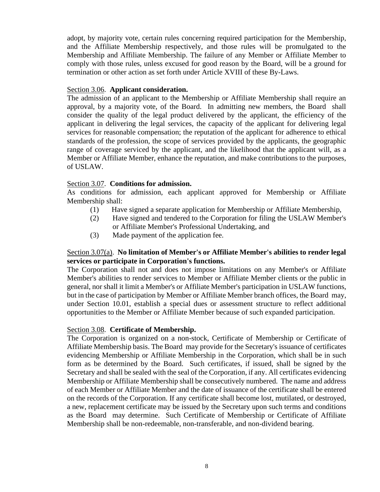adopt, by majority vote, certain rules concerning required participation for the Membership, and the Affiliate Membership respectively, and those rules will be promulgated to the Membership and Affiliate Membership. The failure of any Member or Affiliate Member to comply with those rules, unless excused for good reason by the Board, will be a ground for termination or other action as set forth under Article XVIII of these By-Laws.

## Section 3.06. **Applicant consideration.**

The admission of an applicant to the Membership or Affiliate Membership shall require an approval, by a majority vote, of the Board. In admitting new members, the Board shall consider the quality of the legal product delivered by the applicant, the efficiency of the applicant in delivering the legal services, the capacity of the applicant for delivering legal services for reasonable compensation; the reputation of the applicant for adherence to ethical standards of the profession, the scope of services provided by the applicants, the geographic range of coverage serviced by the applicant, and the likelihood that the applicant will, as a Member or Affiliate Member, enhance the reputation, and make contributions to the purposes, of USLAW.

# Section 3.07. **Conditions for admission.**

As conditions for admission, each applicant approved for Membership or Affiliate Membership shall:

- (1) Have signed a separate application for Membership or Affiliate Membership,
- (2) Have signed and tendered to the Corporation for filing the USLAW Member's or Affiliate Member's Professional Undertaking, and
- (3) Made payment of the application fee.

# Section 3.07(a). **No limitation of Member's or Affiliate Member's abilities to render legal services or participate in Corporation's functions.**

The Corporation shall not and does not impose limitations on any Member's or Affiliate Member's abilities to render services to Member or Affiliate Member clients or the public in general, nor shall it limit a Member's or Affiliate Member's participation in USLAW functions, but in the case of participation by Member or Affiliate Member branch offices, the Board may, under Section 10.01, establish a special dues or assessment structure to reflect additional opportunities to the Member or Affiliate Member because of such expanded participation.

#### Section 3.08. **Certificate of Membership.**

The Corporation is organized on a non-stock, Certificate of Membership or Certificate of Affiliate Membership basis. The Board may provide for the Secretary's issuance of certificates evidencing Membership or Affiliate Membership in the Corporation, which shall be in such form as be determined by the Board. Such certificates, if issued, shall be signed by the Secretary and shall be sealed with the seal of the Corporation, if any. All certificates evidencing Membership or Affiliate Membership shall be consecutively numbered. The name and address of each Member or Affiliate Member and the date of issuance of the certificate shall be entered on the records of the Corporation. If any certificate shall become lost, mutilated, or destroyed, a new, replacement certificate may be issued by the Secretary upon such terms and conditions as the Board may determine. Such Certificate of Membership or Certificate of Affiliate Membership shall be non-redeemable, non-transferable, and non-dividend bearing.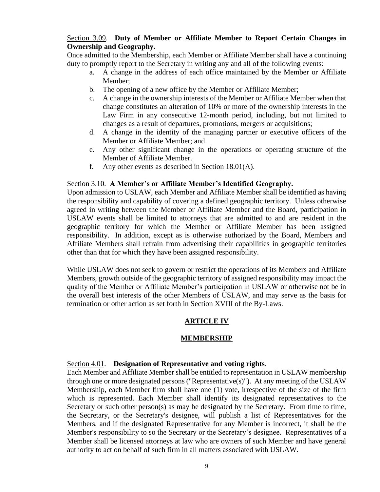# Section 3.09. **Duty of Member or Affiliate Member to Report Certain Changes in Ownership and Geography.**

Once admitted to the Membership, each Member or Affiliate Member shall have a continuing duty to promptly report to the Secretary in writing any and all of the following events:

- a. A change in the address of each office maintained by the Member or Affiliate Member;
- b. The opening of a new office by the Member or Affiliate Member;
- c. A change in the ownership interests of the Member or Affiliate Member when that change constitutes an alteration of 10% or more of the ownership interests in the Law Firm in any consecutive 12-month period, including, but not limited to changes as a result of departures, promotions, mergers or acquisitions;
- d. A change in the identity of the managing partner or executive officers of the Member or Affiliate Member; and
- e. Any other significant change in the operations or operating structure of the Member of Affiliate Member.
- f. Any other events as described in Section 18.01(A).

# Section 3.10. **A Member's or Affiliate Member's Identified Geography.**

Upon admission to USLAW, each Member and Affiliate Member shall be identified as having the responsibility and capability of covering a defined geographic territory. Unless otherwise agreed in writing between the Member or Affiliate Member and the Board, participation in USLAW events shall be limited to attorneys that are admitted to and are resident in the geographic territory for which the Member or Affiliate Member has been assigned responsibility. In addition, except as is otherwise authorized by the Board, Members and Affiliate Members shall refrain from advertising their capabilities in geographic territories other than that for which they have been assigned responsibility.

While USLAW does not seek to govern or restrict the operations of its Members and Affiliate Members, growth outside of the geographic territory of assigned responsibility may impact the quality of the Member or Affiliate Member's participation in USLAW or otherwise not be in the overall best interests of the other Members of USLAW, and may serve as the basis for termination or other action as set forth in Section XVIII of the By-Laws.

# **ARTICLE IV**

# **MEMBERSHIP**

# Section 4.01. **Designation of Representative and voting rights**.

Each Member and Affiliate Member shall be entitled to representation in USLAW membership through one or more designated persons ("Representative(s)"). At any meeting of the USLAW Membership, each Member firm shall have one (1) vote, irrespective of the size of the firm which is represented. Each Member shall identify its designated representatives to the Secretary or such other person(s) as may be designated by the Secretary. From time to time, the Secretary, or the Secretary's designee, will publish a list of Representatives for the Members, and if the designated Representative for any Member is incorrect, it shall be the Member's responsibility to so the Secretary or the Secretary's designee. Representatives of a Member shall be licensed attorneys at law who are owners of such Member and have general authority to act on behalf of such firm in all matters associated with USLAW.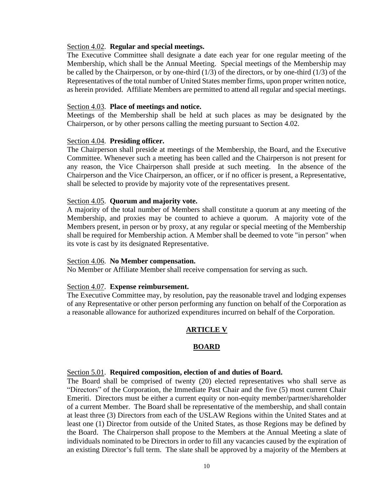## Section 4.02. **Regular and special meetings.**

The Executive Committee shall designate a date each year for one regular meeting of the Membership, which shall be the Annual Meeting. Special meetings of the Membership may be called by the Chairperson, or by one-third (1/3) of the directors, or by one-third (1/3) of the Representatives of the total number of United States member firms, upon proper written notice, as herein provided. Affiliate Members are permitted to attend all regular and special meetings.

## Section 4.03. **Place of meetings and notice.**

Meetings of the Membership shall be held at such places as may be designated by the Chairperson, or by other persons calling the meeting pursuant to Section 4.02.

#### Section 4.04. **Presiding officer.**

The Chairperson shall preside at meetings of the Membership, the Board, and the Executive Committee. Whenever such a meeting has been called and the Chairperson is not present for any reason, the Vice Chairperson shall preside at such meeting. In the absence of the Chairperson and the Vice Chairperson, an officer, or if no officer is present, a Representative, shall be selected to provide by majority vote of the representatives present.

## Section 4.05. **Quorum and majority vote.**

A majority of the total number of Members shall constitute a quorum at any meeting of the Membership, and proxies may be counted to achieve a quorum. A majority vote of the Members present, in person or by proxy, at any regular or special meeting of the Membership shall be required for Membership action. A Member shall be deemed to vote "in person" when its vote is cast by its designated Representative.

#### Section 4.06. **No Member compensation.**

No Member or Affiliate Member shall receive compensation for serving as such.

# Section 4.07. **Expense reimbursement.**

The Executive Committee may, by resolution, pay the reasonable travel and lodging expenses of any Representative or other person performing any function on behalf of the Corporation as a reasonable allowance for authorized expenditures incurred on behalf of the Corporation.

# **ARTICLE V**

# **BOARD**

#### Section 5.01. **Required composition, election of and duties of Board.**

The Board shall be comprised of twenty (20) elected representatives who shall serve as "Directors" of the Corporation, the Immediate Past Chair and the five (5) most current Chair Emeriti. Directors must be either a current equity or non-equity member/partner/shareholder of a current Member. The Board shall be representative of the membership, and shall contain at least three (3) Directors from each of the USLAW Regions within the United States and at least one (1) Director from outside of the United States, as those Regions may be defined by the Board. The Chairperson shall propose to the Members at the Annual Meeting a slate of individuals nominated to be Directors in order to fill any vacancies caused by the expiration of an existing Director's full term. The slate shall be approved by a majority of the Members at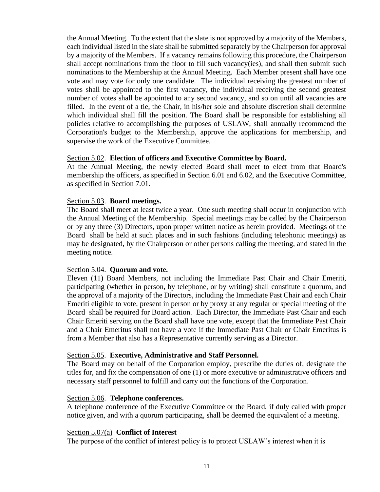the Annual Meeting. To the extent that the slate is not approved by a majority of the Members, each individual listed in the slate shall be submitted separately by the Chairperson for approval by a majority of the Members. If a vacancy remains following this procedure, the Chairperson shall accept nominations from the floor to fill such vacancy(ies), and shall then submit such nominations to the Membership at the Annual Meeting. Each Member present shall have one vote and may vote for only one candidate. The individual receiving the greatest number of votes shall be appointed to the first vacancy, the individual receiving the second greatest number of votes shall be appointed to any second vacancy, and so on until all vacancies are filled. In the event of a tie, the Chair, in his/her sole and absolute discretion shall determine which individual shall fill the position. The Board shall be responsible for establishing all policies relative to accomplishing the purposes of USLAW, shall annually recommend the Corporation's budget to the Membership, approve the applications for membership, and supervise the work of the Executive Committee.

## Section 5.02. **Election of officers and Executive Committee by Board.**

At the Annual Meeting, the newly elected Board shall meet to elect from that Board's membership the officers, as specified in Section 6.01 and 6.02, and the Executive Committee, as specified in Section 7.01.

# Section 5.03. **Board meetings.**

The Board shall meet at least twice a year. One such meeting shall occur in conjunction with the Annual Meeting of the Membership. Special meetings may be called by the Chairperson or by any three (3) Directors, upon proper written notice as herein provided. Meetings of the Board shall be held at such places and in such fashions (including telephonic meetings) as may be designated, by the Chairperson or other persons calling the meeting, and stated in the meeting notice.

# Section 5.04. **Quorum and vote.**

Eleven (11) Board Members, not including the Immediate Past Chair and Chair Emeriti, participating (whether in person, by telephone, or by writing) shall constitute a quorum, and the approval of a majority of the Directors, including the Immediate Past Chair and each Chair Emeriti eligible to vote, present in person or by proxy at any regular or special meeting of the Board shall be required for Board action. Each Director, the Immediate Past Chair and each Chair Emeriti serving on the Board shall have one vote, except that the Immediate Past Chair and a Chair Emeritus shall not have a vote if the Immediate Past Chair or Chair Emeritus is from a Member that also has a Representative currently serving as a Director.

# Section 5.05. **Executive, Administrative and Staff Personnel.**

The Board may on behalf of the Corporation employ, prescribe the duties of, designate the titles for, and fix the compensation of one (1) or more executive or administrative officers and necessary staff personnel to fulfill and carry out the functions of the Corporation.

#### Section 5.06. **Telephone conferences.**

A telephone conference of the Executive Committee or the Board, if duly called with proper notice given, and with a quorum participating, shall be deemed the equivalent of a meeting.

#### Section 5.07(a) **Conflict of Interest**

The purpose of the conflict of interest policy is to protect USLAW's interest when it is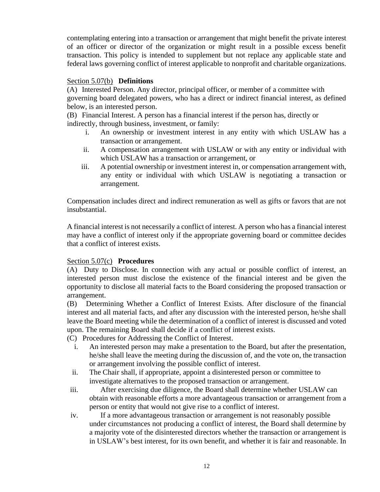contemplating entering into a transaction or arrangement that might benefit the private interest of an officer or director of the organization or might result in a possible excess benefit transaction. This policy is intended to supplement but not replace any applicable state and federal laws governing conflict of interest applicable to nonprofit and charitable organizations.

## Section 5.07(b) **Definitions**

(A) Interested Person. Any director, principal officer, or member of a committee with governing board delegated powers, who has a direct or indirect financial interest, as defined below, is an interested person.

(B) Financial Interest. A person has a financial interest if the person has, directly or indirectly, through business, investment, or family:

- i. An ownership or investment interest in any entity with which USLAW has a transaction or arrangement.
- ii. A compensation arrangement with USLAW or with any entity or individual with which USLAW has a transaction or arrangement, or
- iii. A potential ownership or investment interest in, or compensation arrangement with, any entity or individual with which USLAW is negotiating a transaction or arrangement.

Compensation includes direct and indirect remuneration as well as gifts or favors that are not insubstantial.

A financial interest is not necessarily a conflict of interest. A person who has a financial interest may have a conflict of interest only if the appropriate governing board or committee decides that a conflict of interest exists.

# Section 5.07(c) **Procedures**

(A) Duty to Disclose. In connection with any actual or possible conflict of interest, an interested person must disclose the existence of the financial interest and be given the opportunity to disclose all material facts to the Board considering the proposed transaction or arrangement.

(B) Determining Whether a Conflict of Interest Exists. After disclosure of the financial interest and all material facts, and after any discussion with the interested person, he/she shall leave the Board meeting while the determination of a conflict of interest is discussed and voted upon. The remaining Board shall decide if a conflict of interest exists.

(C) Procedures for Addressing the Conflict of Interest.

- i. An interested person may make a presentation to the Board, but after the presentation, he/she shall leave the meeting during the discussion of, and the vote on, the transaction or arrangement involving the possible conflict of interest.
- ii. The Chair shall, if appropriate, appoint a disinterested person or committee to investigate alternatives to the proposed transaction or arrangement.
- iii. After exercising due diligence, the Board shall determine whether USLAW can obtain with reasonable efforts a more advantageous transaction or arrangement from a person or entity that would not give rise to a conflict of interest.
- iv. If a more advantageous transaction or arrangement is not reasonably possible under circumstances not producing a conflict of interest, the Board shall determine by a majority vote of the disinterested directors whether the transaction or arrangement is in USLAW's best interest, for its own benefit, and whether it is fair and reasonable. In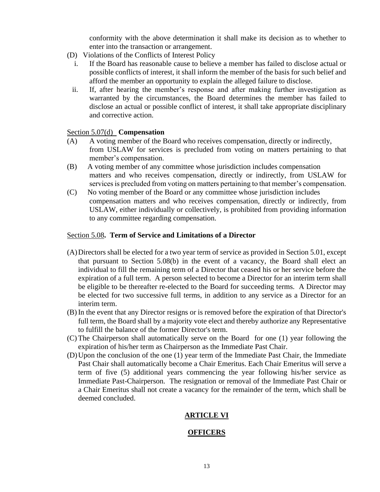conformity with the above determination it shall make its decision as to whether to enter into the transaction or arrangement.

- (D) Violations of the Conflicts of Interest Policy
	- i. If the Board has reasonable cause to believe a member has failed to disclose actual or possible conflicts of interest, it shall inform the member of the basis for such belief and afford the member an opportunity to explain the alleged failure to disclose.
	- ii. If, after hearing the member's response and after making further investigation as warranted by the circumstances, the Board determines the member has failed to disclose an actual or possible conflict of interest, it shall take appropriate disciplinary and corrective action.

# Section 5.07(d) **Compensation**

- (A) A voting member of the Board who receives compensation, directly or indirectly, from USLAW for services is precluded from voting on matters pertaining to that member's compensation.
- (B) A voting member of any committee whose jurisdiction includes compensation matters and who receives compensation, directly or indirectly, from USLAW for services is precluded from voting on matters pertaining to that member's compensation.
- (C) No voting member of the Board or any committee whose jurisdiction includes compensation matters and who receives compensation, directly or indirectly, from USLAW, either individually or collectively, is prohibited from providing information to any committee regarding compensation.

# Section 5.08**. Term of Service and Limitations of a Director**

- (A)Directors shall be elected for a two year term of service as provided in Section 5.01, except that pursuant to Section 5.08(b) in the event of a vacancy, the Board shall elect an individual to fill the remaining term of a Director that ceased his or her service before the expiration of a full term. A person selected to become a Director for an interim term shall be eligible to be thereafter re-elected to the Board for succeeding terms. A Director may be elected for two successive full terms, in addition to any service as a Director for an interim term.
- (B) In the event that any Director resigns or is removed before the expiration of that Director's full term, the Board shall by a majority vote elect and thereby authorize any Representative to fulfill the balance of the former Director's term.
- (C) The Chairperson shall automatically serve on the Board for one (1) year following the expiration of his/her term as Chairperson as the Immediate Past Chair.
- (D)Upon the conclusion of the one (1) year term of the Immediate Past Chair, the Immediate Past Chair shall automatically become a Chair Emeritus. Each Chair Emeritus will serve a term of five (5) additional years commencing the year following his/her service as Immediate Past-Chairperson. The resignation or removal of the Immediate Past Chair or a Chair Emeritus shall not create a vacancy for the remainder of the term, which shall be deemed concluded.

# **ARTICLE VI**

# **OFFICERS**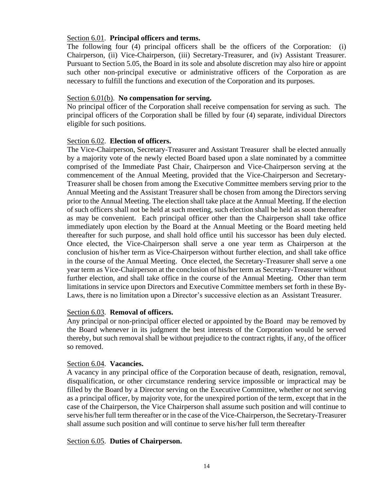# Section 6.01. **Principal officers and terms.**

The following four (4) principal officers shall be the officers of the Corporation: (i) Chairperson, (ii) Vice-Chairperson, (iii) Secretary-Treasurer, and (iv) Assistant Treasurer. Pursuant to Section 5.05, the Board in its sole and absolute discretion may also hire or appoint such other non-principal executive or administrative officers of the Corporation as are necessary to fulfill the functions and execution of the Corporation and its purposes.

# Section 6.01(b). **No compensation for serving.**

No principal officer of the Corporation shall receive compensation for serving as such. The principal officers of the Corporation shall be filled by four (4) separate, individual Directors eligible for such positions.

# Section 6.02. **Election of officers.**

The Vice-Chairperson, Secretary-Treasurer and Assistant Treasurer shall be elected annually by a majority vote of the newly elected Board based upon a slate nominated by a committee comprised of the Immediate Past Chair, Chairperson and Vice-Chairperson serving at the commencement of the Annual Meeting, provided that the Vice-Chairperson and Secretary-Treasurer shall be chosen from among the Executive Committee members serving prior to the Annual Meeting and the Assistant Treasurer shall be chosen from among the Directors serving prior to the Annual Meeting. The election shall take place at the Annual Meeting. If the election of such officers shall not be held at such meeting, such election shall be held as soon thereafter as may be convenient. Each principal officer other than the Chairperson shall take office immediately upon election by the Board at the Annual Meeting or the Board meeting held thereafter for such purpose, and shall hold office until his successor has been duly elected. Once elected, the Vice-Chairperson shall serve a one year term as Chairperson at the conclusion of his/her term as Vice-Chairperson without further election, and shall take office in the course of the Annual Meeting. Once elected, the Secretary-Treasurer shall serve a one year term as Vice-Chairperson at the conclusion of his/her term as Secretary-Treasurer without further election, and shall take office in the course of the Annual Meeting. Other than term limitations in service upon Directors and Executive Committee members set forth in these By-Laws, there is no limitation upon a Director's successive election as an Assistant Treasurer.

# Section 6.03. **Removal of officers.**

Any principal or non-principal officer elected or appointed by the Board may be removed by the Board whenever in its judgment the best interests of the Corporation would be served thereby, but such removal shall be without prejudice to the contract rights, if any, of the officer so removed.

# Section 6.04. **Vacancies.**

A vacancy in any principal office of the Corporation because of death, resignation, removal, disqualification, or other circumstance rendering service impossible or impractical may be filled by the Board by a Director serving on the Executive Committee, whether or not serving as a principal officer, by majority vote, for the unexpired portion of the term, except that in the case of the Chairperson, the Vice Chairperson shall assume such position and will continue to serve his/her full term thereafter or in the case of the Vice-Chairperson, the Secretary-Treasurer shall assume such position and will continue to serve his/her full term thereafter

# Section 6.05. **Duties of Chairperson.**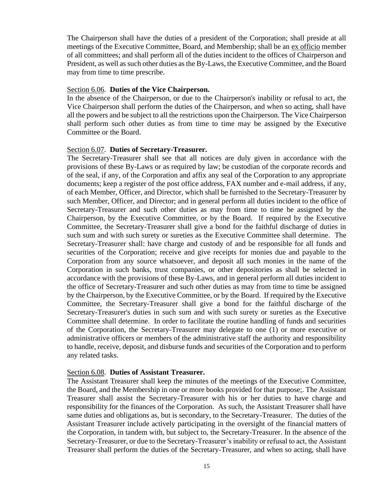The Chairperson shall have the duties of a president of the Corporation; shall preside at all meetings of the Executive Committee, Board, and Membership; shall be an ex officio member of all committees; and shall perform all of the duties incident to the offices of Chairperson and President, as well as such other duties as the By-Laws, the Executive Committee, and the Board may from time to time prescribe.

#### Section 6.06. **Duties of the Vice Chairperson.**

In the absence of the Chairperson, or due to the Chairperson's inability or refusal to act, the Vice Chairperson shall perform the duties of the Chairperson, and when so acting, shall have all the powers and be subject to all the restrictions upon the Chairperson. The Vice Chairperson shall perform such other duties as from time to time may be assigned by the Executive Committee or the Board.

#### Section 6.07. **Duties of Secretary-Treasurer.**

The Secretary-Treasurer shall see that all notices are duly given in accordance with the provisions of these By-Laws or as required by law; be custodian of the corporate records and of the seal, if any, of the Corporation and affix any seal of the Corporation to any appropriate documents; keep a register of the post office address, FAX number and e-mail address, if any, of each Member, Officer, and Director, which shall be furnished to the Secretary-Treasurer by such Member, Officer, and Director; and in general perform all duties incident to the office of Secretary-Treasurer and such other duties as may from time to time be assigned by the Chairperson, by the Executive Committee, or by the Board. If required by the Executive Committee, the Secretary-Treasurer shall give a bond for the faithful discharge of duties in such sum and with such surety or sureties as the Executive Committee shall determine. The Secretary-Treasurer shall: have charge and custody of and be responsible for all funds and securities of the Corporation; receive and give receipts for monies due and payable to the Corporation from any source whatsoever, and deposit all such monies in the name of the Corporation in such banks, trust companies, or other depositories as shall be selected in accordance with the provisions of these By-Laws, and in general perform all duties incident to the office of Secretary-Treasurer and such other duties as may from time to time be assigned by the Chairperson, by the Executive Committee, or by the Board. If required by the Executive Committee, the Secretary-Treasurer shall give a bond for the faithful discharge of the Secretary-Treasurer's duties in such sum and with such surety or sureties as the Executive Committee shall determine. In order to facilitate the routine handling of funds and securities of the Corporation, the Secretary-Treasurer may delegate to one (1) or more executive or administrative officers or members of the administrative staff the authority and responsibility to handle, receive, deposit, and disburse funds and securities of the Corporation and to perform any related tasks.

#### Section 6.08. **Duties of Assistant Treasurer.**

The Assistant Treasurer shall keep the minutes of the meetings of the Executive Committee, the Board, and the Membership in one or more books provided for that purpose;. The Assistant Treasurer shall assist the Secretary-Treasurer with his or her duties to have charge and responsibility for the finances of the Corporation. As such, the Assistant Treasurer shall have same duties and obligations as, but is secondary, to the Secretary-Treasurer. The duties of the Assistant Treasurer include actively participating in the oversight of the financial matters of the Corporation, in tandem with, but subject to, the Secretary-Treasurer. In the absence of the Secretary-Treasurer, or due to the Secretary-Treasurer's inability or refusal to act, the Assistant Treasurer shall perform the duties of the Secretary-Treasurer, and when so acting, shall have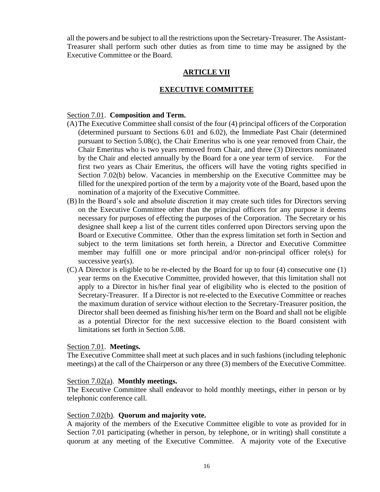all the powers and be subject to all the restrictions upon the Secretary-Treasurer. The Assistant-Treasurer shall perform such other duties as from time to time may be assigned by the Executive Committee or the Board.

# **ARTICLE VII**

# **EXECUTIVE COMMITTEE**

## Section 7.01. **Composition and Term.**

- (A)The Executive Committee shall consist of the four (4) principal officers of the Corporation (determined pursuant to Sections 6.01 and 6.02), the Immediate Past Chair (determined pursuant to Section 5.08(c), the Chair Emeritus who is one year removed from Chair, the Chair Emeritus who is two years removed from Chair, and three (3) Directors nominated by the Chair and elected annually by the Board for a one year term of service. For the first two years as Chair Emeritus, the officers will have the voting rights specified in Section 7.02(b) below. Vacancies in membership on the Executive Committee may be filled for the unexpired portion of the term by a majority vote of the Board, based upon the nomination of a majority of the Executive Committee.
- (B) In the Board's sole and absolute discretion it may create such titles for Directors serving on the Executive Committee other than the principal officers for any purpose it deems necessary for purposes of effecting the purposes of the Corporation. The Secretary or his designee shall keep a list of the current titles conferred upon Directors serving upon the Board or Executive Committee. Other than the express limitation set forth in Section and subject to the term limitations set forth herein, a Director and Executive Committee member may fulfill one or more principal and/or non-principal officer role(s) for successive year(s).
- (C) A Director is eligible to be re-elected by the Board for up to four (4) consecutive one (1) year terms on the Executive Committee, provided however, that this limitation shall not apply to a Director in his/her final year of eligibility who is elected to the position of Secretary-Treasurer. If a Director is not re-elected to the Executive Committee or reaches the maximum duration of service without election to the Secretary-Treasurer position, the Director shall been deemed as finishing his/her term on the Board and shall not be eligible as a potential Director for the next successive election to the Board consistent with limitations set forth in Section 5.08.

#### Section 7.01. **Meetings.**

The Executive Committee shall meet at such places and in such fashions (including telephonic meetings) at the call of the Chairperson or any three (3) members of the Executive Committee.

## Section 7.02(a). **Monthly meetings.**

The Executive Committee shall endeavor to hold monthly meetings, either in person or by telephonic conference call.

#### Section 7.02(b). **Quorum and majority vote.**

A majority of the members of the Executive Committee eligible to vote as provided for in Section 7.01 participating (whether in person, by telephone, or in writing) shall constitute a quorum at any meeting of the Executive Committee. A majority vote of the Executive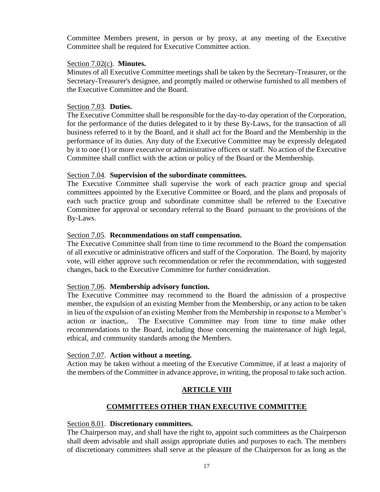Committee Members present, in person or by proxy, at any meeting of the Executive Committee shall be required for Executive Committee action.

## Section 7.02(c). **Minutes.**

Minutes of all Executive Committee meetings shall be taken by the Secretary-Treasurer, or the Secretary-Treasurer's designee, and promptly mailed or otherwise furnished to all members of the Executive Committee and the Board.

## Section 7.03. **Duties.**

The Executive Committee shall be responsible for the day-to-day operation of the Corporation, for the performance of the duties delegated to it by these By-Laws, for the transaction of all business referred to it by the Board, and it shall act for the Board and the Membership in the performance of its duties. Any duty of the Executive Committee may be expressly delegated by it to one (1) or more executive or administrative officers or staff. No action of the Executive Committee shall conflict with the action or policy of the Board or the Membership.

# Section 7.04. **Supervision of the subordinate committees.**

The Executive Committee shall supervise the work of each practice group and special committees appointed by the Executive Committee or Board, and the plans and proposals of each such practice group and subordinate committee shall be referred to the Executive Committee for approval or secondary referral to the Board pursuant to the provisions of the By-Laws.

## Section 7.05. **Recommendations on staff compensation.**

The Executive Committee shall from time to time recommend to the Board the compensation of all executive or administrative officers and staff of the Corporation. The Board, by majority vote, will either approve such recommendation or refer the recommendation, with suggested changes, back to the Executive Committee for further consideration.

#### Section 7.06. **Membership advisory function.**

The Executive Committee may recommend to the Board the admission of a prospective member, the expulsion of an existing Member from the Membership, or any action to be taken in lieu of the expulsion of an existing Member from the Membership in response to a Member's action or inaction,. The Executive Committee may from time to time make other recommendations to the Board, including those concerning the maintenance of high legal, ethical, and community standards among the Members.

#### Section 7.07. **Action without a meeting.**

Action may be taken without a meeting of the Executive Committee, if at least a majority of the members of the Committee in advance approve, in writing, the proposal to take such action.

# **ARTICLE VIII**

# **COMMITTEES OTHER THAN EXECUTIVE COMMITTEE**

# Section 8.01. **Discretionary committees.**

The Chairperson may, and shall have the right to, appoint such committees as the Chairperson shall deem advisable and shall assign appropriate duties and purposes to each. The members of discretionary committees shall serve at the pleasure of the Chairperson for as long as the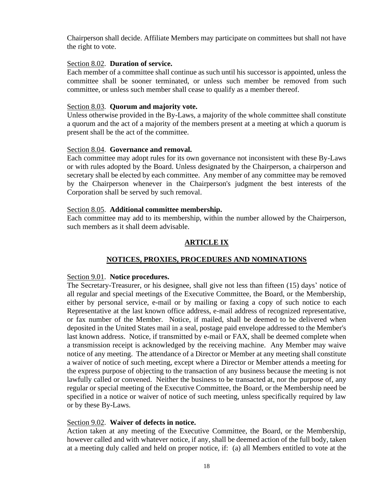Chairperson shall decide. Affiliate Members may participate on committees but shall not have the right to vote.

# Section 8.02. **Duration of service.**

Each member of a committee shall continue as such until his successor is appointed, unless the committee shall be sooner terminated, or unless such member be removed from such committee, or unless such member shall cease to qualify as a member thereof.

# Section 8.03. **Quorum and majority vote.**

Unless otherwise provided in the By-Laws, a majority of the whole committee shall constitute a quorum and the act of a majority of the members present at a meeting at which a quorum is present shall be the act of the committee.

# Section 8.04. **Governance and removal.**

Each committee may adopt rules for its own governance not inconsistent with these By-Laws or with rules adopted by the Board. Unless designated by the Chairperson, a chairperson and secretary shall be elected by each committee. Any member of any committee may be removed by the Chairperson whenever in the Chairperson's judgment the best interests of the Corporation shall be served by such removal.

# Section 8.05. **Additional committee membership.**

Each committee may add to its membership, within the number allowed by the Chairperson, such members as it shall deem advisable.

# **ARTICLE IX**

# **NOTICES, PROXIES, PROCEDURES AND NOMINATIONS**

# Section 9.01. **Notice procedures.**

The Secretary-Treasurer, or his designee, shall give not less than fifteen (15) days' notice of all regular and special meetings of the Executive Committee, the Board, or the Membership, either by personal service, e-mail or by mailing or faxing a copy of such notice to each Representative at the last known office address, e-mail address of recognized representative, or fax number of the Member. Notice, if mailed, shall be deemed to be delivered when deposited in the United States mail in a seal, postage paid envelope addressed to the Member's last known address. Notice, if transmitted by e-mail or FAX, shall be deemed complete when a transmission receipt is acknowledged by the receiving machine. Any Member may waive notice of any meeting. The attendance of a Director or Member at any meeting shall constitute a waiver of notice of such meeting, except where a Director or Member attends a meeting for the express purpose of objecting to the transaction of any business because the meeting is not lawfully called or convened. Neither the business to be transacted at, nor the purpose of, any regular or special meeting of the Executive Committee, the Board, or the Membership need be specified in a notice or waiver of notice of such meeting, unless specifically required by law or by these By-Laws.

# Section 9.02. **Waiver of defects in notice.**

Action taken at any meeting of the Executive Committee, the Board, or the Membership, however called and with whatever notice, if any, shall be deemed action of the full body, taken at a meeting duly called and held on proper notice, if: (a) all Members entitled to vote at the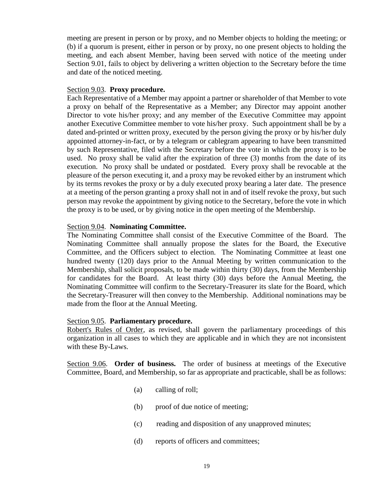meeting are present in person or by proxy, and no Member objects to holding the meeting; or (b) if a quorum is present, either in person or by proxy, no one present objects to holding the meeting, and each absent Member, having been served with notice of the meeting under Section 9.01, fails to object by delivering a written objection to the Secretary before the time and date of the noticed meeting.

#### Section 9.03. **Proxy procedure.**

Each Representative of a Member may appoint a partner or shareholder of that Member to vote a proxy on behalf of the Representative as a Member; any Director may appoint another Director to vote his/her proxy; and any member of the Executive Committee may appoint another Executive Committee member to vote his/her proxy. Such appointment shall be by a dated and-printed or written proxy, executed by the person giving the proxy or by his/her duly appointed attorney-in-fact, or by a telegram or cablegram appearing to have been transmitted by such Representative, filed with the Secretary before the vote in which the proxy is to be used. No proxy shall be valid after the expiration of three (3) months from the date of its execution. No proxy shall be undated or postdated. Every proxy shall be revocable at the pleasure of the person executing it, and a proxy may be revoked either by an instrument which by its terms revokes the proxy or by a duly executed proxy bearing a later date. The presence at a meeting of the person granting a proxy shall not in and of itself revoke the proxy, but such person may revoke the appointment by giving notice to the Secretary, before the vote in which the proxy is to be used, or by giving notice in the open meeting of the Membership.

## Section 9.04. **Nominating Committee.**

The Nominating Committee shall consist of the Executive Committee of the Board. The Nominating Committee shall annually propose the slates for the Board, the Executive Committee, and the Officers subject to election. The Nominating Committee at least one hundred twenty (120) days prior to the Annual Meeting by written communication to the Membership, shall solicit proposals, to be made within thirty (30) days, from the Membership for candidates for the Board. At least thirty (30) days before the Annual Meeting, the Nominating Committee will confirm to the Secretary-Treasurer its slate for the Board, which the Secretary-Treasurer will then convey to the Membership. Additional nominations may be made from the floor at the Annual Meeting.

# Section 9.05. **Parliamentary procedure.**

Robert's Rules of Order, as revised, shall govern the parliamentary proceedings of this organization in all cases to which they are applicable and in which they are not inconsistent with these By-Laws.

Section 9.06. **Order of business.** The order of business at meetings of the Executive Committee, Board, and Membership, so far as appropriate and practicable, shall be as follows:

- (a) calling of roll;
- (b) proof of due notice of meeting;
- (c) reading and disposition of any unapproved minutes;
- (d) reports of officers and committees;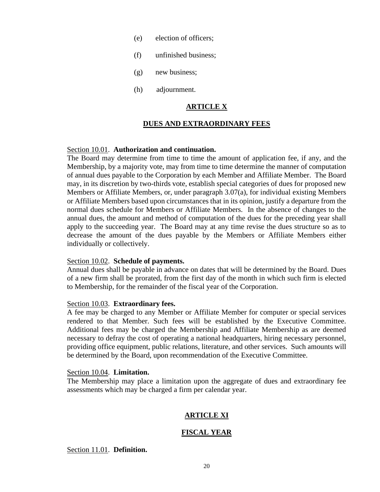- (e) election of officers;
- (f) unfinished business;
- (g) new business;
- (h) adjournment.

# **ARTICLE X**

## **DUES AND EXTRAORDINARY FEES**

#### Section 10.01. **Authorization and continuation.**

The Board may determine from time to time the amount of application fee, if any, and the Membership, by a majority vote, may from time to time determine the manner of computation of annual dues payable to the Corporation by each Member and Affiliate Member. The Board may, in its discretion by two-thirds vote, establish special categories of dues for proposed new Members or Affiliate Members, or, under paragraph 3.07(a), for individual existing Members or Affiliate Members based upon circumstances that in its opinion, justify a departure from the normal dues schedule for Members or Affiliate Members. In the absence of changes to the annual dues, the amount and method of computation of the dues for the preceding year shall apply to the succeeding year. The Board may at any time revise the dues structure so as to decrease the amount of the dues payable by the Members or Affiliate Members either individually or collectively.

#### Section 10.02. **Schedule of payments.**

Annual dues shall be payable in advance on dates that will be determined by the Board. Dues of a new firm shall be prorated, from the first day of the month in which such firm is elected to Membership, for the remainder of the fiscal year of the Corporation.

## Section 10.03. **Extraordinary fees.**

A fee may be charged to any Member or Affiliate Member for computer or special services rendered to that Member. Such fees will be established by the Executive Committee. Additional fees may be charged the Membership and Affiliate Membership as are deemed necessary to defray the cost of operating a national headquarters, hiring necessary personnel, providing office equipment, public relations, literature, and other services. Such amounts will be determined by the Board, upon recommendation of the Executive Committee.

#### Section 10.04. **Limitation.**

The Membership may place a limitation upon the aggregate of dues and extraordinary fee assessments which may be charged a firm per calendar year.

# **ARTICLE XI**

# **FISCAL YEAR**

Section 11.01. **Definition.**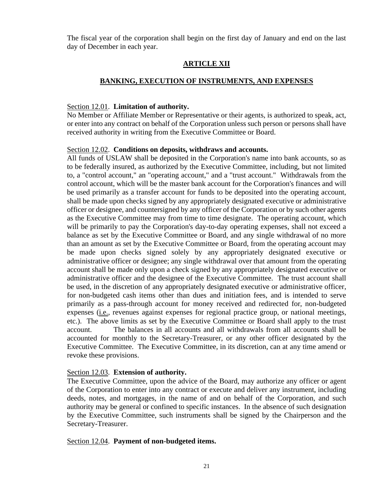The fiscal year of the corporation shall begin on the first day of January and end on the last day of December in each year.

# **ARTICLE XII**

# **BANKING, EXECUTION OF INSTRUMENTS, AND EXPENSES**

## Section 12.01. **Limitation of authority.**

No Member or Affiliate Member or Representative or their agents, is authorized to speak, act, or enter into any contract on behalf of the Corporation unless such person or persons shall have received authority in writing from the Executive Committee or Board.

# Section 12.02. **Conditions on deposits, withdraws and accounts.**

All funds of USLAW shall be deposited in the Corporation's name into bank accounts, so as to be federally insured, as authorized by the Executive Committee, including, but not limited to, a "control account," an "operating account," and a "trust account." Withdrawals from the control account, which will be the master bank account for the Corporation's finances and will be used primarily as a transfer account for funds to be deposited into the operating account, shall be made upon checks signed by any appropriately designated executive or administrative officer or designee, and countersigned by any officer of the Corporation or by such other agents as the Executive Committee may from time to time designate. The operating account, which will be primarily to pay the Corporation's day-to-day operating expenses, shall not exceed a balance as set by the Executive Committee or Board, and any single withdrawal of no more than an amount as set by the Executive Committee or Board, from the operating account may be made upon checks signed solely by any appropriately designated executive or administrative officer or designee; any single withdrawal over that amount from the operating account shall be made only upon a check signed by any appropriately designated executive or administrative officer and the designee of the Executive Committee. The trust account shall be used, in the discretion of any appropriately designated executive or administrative officer, for non-budgeted cash items other than dues and initiation fees, and is intended to serve primarily as a pass-through account for money received and redirected for, non-budgeted expenses (i.e., revenues against expenses for regional practice group, or national meetings, etc.). The above limits as set by the Executive Committee or Board shall apply to the trust account. The balances in all accounts and all withdrawals from all accounts shall be accounted for monthly to the Secretary-Treasurer, or any other officer designated by the Executive Committee. The Executive Committee, in its discretion, can at any time amend or revoke these provisions.

# Section 12.03. **Extension of authority.**

The Executive Committee, upon the advice of the Board, may authorize any officer or agent of the Corporation to enter into any contract or execute and deliver any instrument, including deeds, notes, and mortgages, in the name of and on behalf of the Corporation, and such authority may be general or confined to specific instances. In the absence of such designation by the Executive Committee, such instruments shall be signed by the Chairperson and the Secretary-Treasurer.

# Section 12.04. **Payment of non-budgeted items.**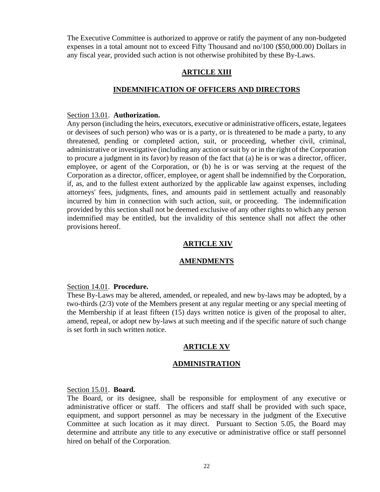The Executive Committee is authorized to approve or ratify the payment of any non-budgeted expenses in a total amount not to exceed Fifty Thousand and no/100 (\$50,000.00) Dollars in any fiscal year, provided such action is not otherwise prohibited by these By-Laws.

#### **ARTICLE XIII**

## **INDEMNIFICATION OF OFFICERS AND DIRECTORS**

#### Section 13.01. **Authorization.**

Any person (including the heirs, executors, executive or administrative officers, estate, legatees or devisees of such person) who was or is a party, or is threatened to be made a party, to any threatened, pending or completed action, suit, or proceeding, whether civil, criminal, administrative or investigative (including any action or suit by or in the right of the Corporation to procure a judgment in its favor) by reason of the fact that (a) he is or was a director, officer, employee, or agent of the Corporation, or (b) he is or was serving at the request of the Corporation as a director, officer, employee, or agent shall be indemnified by the Corporation, if, as, and to the fullest extent authorized by the applicable law against expenses, including attorneys' fees, judgments, fines, and amounts paid in settlement actually and reasonably incurred by him in connection with such action, suit, or proceeding. The indemnification provided by this section shall not be deemed exclusive of any other rights to which any person indemnified may be entitled, but the invalidity of this sentence shall not affect the other provisions hereof.

## **ARTICLE XIV**

#### **AMENDMENTS**

#### Section 14.01. **Procedure.**

These By-Laws may be altered, amended, or repealed, and new by-laws may be adopted, by a two-thirds (2/3) vote of the Members present at any regular meeting or any special meeting of the Membership if at least fifteen (15) days written notice is given of the proposal to alter, amend, repeal, or adopt new by-laws at such meeting and if the specific nature of such change is set forth in such written notice.

# **ARTICLE XV**

#### **ADMINISTRATION**

#### Section 15.01. **Board.**

The Board, or its designee, shall be responsible for employment of any executive or administrative officer or staff. The officers and staff shall be provided with such space, equipment, and support personnel as may be necessary in the judgment of the Executive Committee at such location as it may direct. Pursuant to Section 5.05, the Board may determine and attribute any title to any executive or administrative office or staff personnel hired on behalf of the Corporation.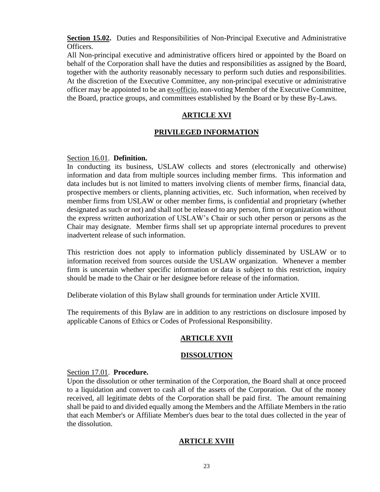**Section 15.02.** Duties and Responsibilities of Non-Principal Executive and Administrative Officers.

All Non-principal executive and administrative officers hired or appointed by the Board on behalf of the Corporation shall have the duties and responsibilities as assigned by the Board, together with the authority reasonably necessary to perform such duties and responsibilities. At the discretion of the Executive Committee, any non-principal executive or administrative officer may be appointed to be an ex-officio, non-voting Member of the Executive Committee, the Board, practice groups, and committees established by the Board or by these By-Laws.

# **ARTICLE XVI**

# **PRIVILEGED INFORMATION**

# Section 16.01. **Definition.**

In conducting its business, USLAW collects and stores (electronically and otherwise) information and data from multiple sources including member firms. This information and data includes but is not limited to matters involving clients of member firms, financial data, prospective members or clients, planning activities, etc. Such information, when received by member firms from USLAW or other member firms, is confidential and proprietary (whether designated as such or not) and shall not be released to any person, firm or organization without the express written authorization of USLAW's Chair or such other person or persons as the Chair may designate. Member firms shall set up appropriate internal procedures to prevent inadvertent release of such information.

This restriction does not apply to information publicly disseminated by USLAW or to information received from sources outside the USLAW organization. Whenever a member firm is uncertain whether specific information or data is subject to this restriction, inquiry should be made to the Chair or her designee before release of the information.

Deliberate violation of this Bylaw shall grounds for termination under Article XVIII.

The requirements of this Bylaw are in addition to any restrictions on disclosure imposed by applicable Canons of Ethics or Codes of Professional Responsibility.

# **ARTICLE XVII**

# **DISSOLUTION**

#### Section 17.01. **Procedure.**

Upon the dissolution or other termination of the Corporation, the Board shall at once proceed to a liquidation and convert to cash all of the assets of the Corporation. Out of the money received, all legitimate debts of the Corporation shall be paid first. The amount remaining shall be paid to and divided equally among the Members and the Affiliate Members in the ratio that each Member's or Affiliate Member's dues bear to the total dues collected in the year of the dissolution.

# **ARTICLE XVIII**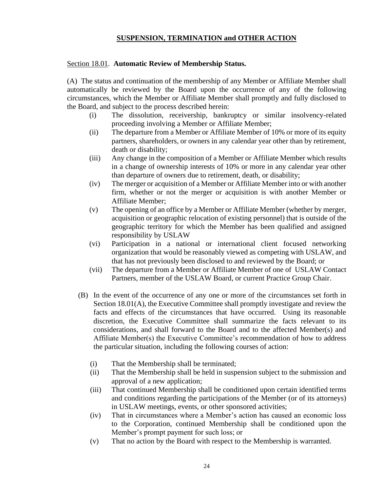# **SUSPENSION, TERMINATION and OTHER ACTION**

#### Section 18.01. **Automatic Review of Membership Status.**

(A) The status and continuation of the membership of any Member or Affiliate Member shall automatically be reviewed by the Board upon the occurrence of any of the following circumstances, which the Member or Affiliate Member shall promptly and fully disclosed to the Board, and subject to the process described herein:

- (i) The dissolution, receivership, bankruptcy or similar insolvency-related proceeding involving a Member or Affiliate Member;
- (ii) The departure from a Member or Affiliate Member of 10% or more of its equity partners, shareholders, or owners in any calendar year other than by retirement, death or disability;
- (iii) Any change in the composition of a Member or Affiliate Member which results in a change of ownership interests of 10% or more in any calendar year other than departure of owners due to retirement, death, or disability;
- (iv) The merger or acquisition of a Member or Affiliate Member into or with another firm, whether or not the merger or acquisition is with another Member or Affiliate Member;
- (v) The opening of an office by a Member or Affiliate Member (whether by merger, acquisition or geographic relocation of existing personnel) that is outside of the geographic territory for which the Member has been qualified and assigned responsibility by USLAW
- (vi) Participation in a national or international client focused networking organization that would be reasonably viewed as competing with USLAW, and that has not previously been disclosed to and reviewed by the Board; or
- (vii) The departure from a Member or Affiliate Member of one of USLAW Contact Partners, member of the USLAW Board, or current Practice Group Chair.
- (B) In the event of the occurrence of any one or more of the circumstances set forth in Section 18.01(A), the Executive Committee shall promptly investigate and review the facts and effects of the circumstances that have occurred. Using its reasonable discretion, the Executive Committee shall summarize the facts relevant to its considerations, and shall forward to the Board and to the affected Member(s) and Affiliate Member(s) the Executive Committee's recommendation of how to address the particular situation, including the following courses of action:
	- (i) That the Membership shall be terminated;
	- (ii) That the Membership shall be held in suspension subject to the submission and approval of a new application;
	- (iii) That continued Membership shall be conditioned upon certain identified terms and conditions regarding the participations of the Member (or of its attorneys) in USLAW meetings, events, or other sponsored activities;
	- (iv) That in circumstances where a Member's action has caused an economic loss to the Corporation, continued Membership shall be conditioned upon the Member's prompt payment for such loss; or
	- (v) That no action by the Board with respect to the Membership is warranted.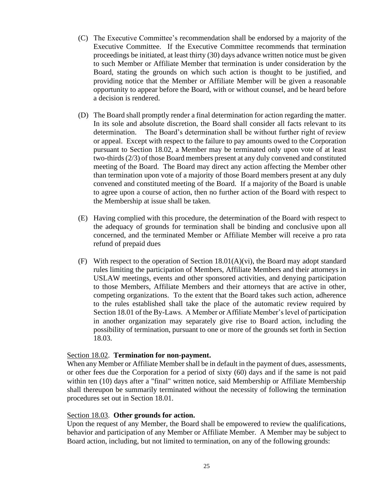- (C) The Executive Committee's recommendation shall be endorsed by a majority of the Executive Committee. If the Executive Committee recommends that termination proceedings be initiated, at least thirty (30) days advance written notice must be given to such Member or Affiliate Member that termination is under consideration by the Board, stating the grounds on which such action is thought to be justified, and providing notice that the Member or Affiliate Member will be given a reasonable opportunity to appear before the Board, with or without counsel, and be heard before a decision is rendered.
- (D) The Board shall promptly render a final determination for action regarding the matter. In its sole and absolute discretion, the Board shall consider all facts relevant to its determination. The Board's determination shall be without further right of review or appeal. Except with respect to the failure to pay amounts owed to the Corporation pursuant to Section 18.02, a Member may be terminated only upon vote of at least two-thirds (2/3) of those Board members present at any duly convened and constituted meeting of the Board. The Board may direct any action affecting the Member other than termination upon vote of a majority of those Board members present at any duly convened and constituted meeting of the Board. If a majority of the Board is unable to agree upon a course of action, then no further action of the Board with respect to the Membership at issue shall be taken.
- (E) Having complied with this procedure, the determination of the Board with respect to the adequacy of grounds for termination shall be binding and conclusive upon all concerned, and the terminated Member or Affiliate Member will receive a pro rata refund of prepaid dues
- (F) With respect to the operation of Section 18.01(A)(vi), the Board may adopt standard rules limiting the participation of Members, Affiliate Members and their attorneys in USLAW meetings, events and other sponsored activities, and denying participation to those Members, Affiliate Members and their attorneys that are active in other, competing organizations. To the extent that the Board takes such action, adherence to the rules established shall take the place of the automatic review required by Section 18.01 of the By-Laws. A Member or Affiliate Member's level of participation in another organization may separately give rise to Board action, including the possibility of termination, pursuant to one or more of the grounds set forth in Section 18.03.

## Section 18.02. **Termination for non-payment.**

When any Member or Affiliate Member shall be in default in the payment of dues, assessments, or other fees due the Corporation for a period of sixty (60) days and if the same is not paid within ten (10) days after a "final" written notice, said Membership or Affiliate Membership shall thereupon be summarily terminated without the necessity of following the termination procedures set out in Section 18.01.

#### Section 18.03. **Other grounds for action.**

Upon the request of any Member, the Board shall be empowered to review the qualifications, behavior and participation of any Member or Affiliate Member. A Member may be subject to Board action, including, but not limited to termination, on any of the following grounds: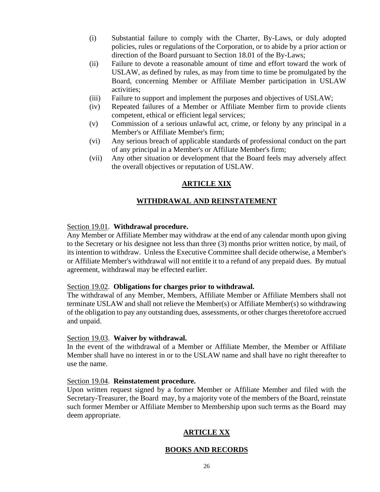- (i) Substantial failure to comply with the Charter, By-Laws, or duly adopted policies, rules or regulations of the Corporation, or to abide by a prior action or direction of the Board pursuant to Section 18.01 of the By-Laws;
- (ii) Failure to devote a reasonable amount of time and effort toward the work of USLAW, as defined by rules, as may from time to time be promulgated by the Board, concerning Member or Affiliate Member participation in USLAW activities;
- (iii) Failure to support and implement the purposes and objectives of USLAW;
- (iv) Repeated failures of a Member or Affiliate Member firm to provide clients competent, ethical or efficient legal services;
- (v) Commission of a serious unlawful act, crime, or felony by any principal in a Member's or Affiliate Member's firm;
- (vi) Any serious breach of applicable standards of professional conduct on the part of any principal in a Member's or Affiliate Member's firm;
- (vii) Any other situation or development that the Board feels may adversely affect the overall objectives or reputation of USLAW.

# **ARTICLE XIX**

# **WITHDRAWAL AND REINSTATEMENT**

#### Section 19.01. **Withdrawal procedure.**

Any Member or Affiliate Member may withdraw at the end of any calendar month upon giving to the Secretary or his designee not less than three (3) months prior written notice, by mail, of its intention to withdraw. Unless the Executive Committee shall decide otherwise, a Member's or Affiliate Member's withdrawal will not entitle it to a refund of any prepaid dues. By mutual agreement, withdrawal may be effected earlier.

#### Section 19.02. **Obligations for charges prior to withdrawal.**

The withdrawal of any Member, Members, Affiliate Member or Affiliate Members shall not terminate USLAW and shall not relieve the Member(s) or Affiliate Member(s) so withdrawing of the obligation to pay any outstanding dues, assessments, or other charges theretofore accrued and unpaid.

#### Section 19.03. **Waiver by withdrawal.**

In the event of the withdrawal of a Member or Affiliate Member, the Member or Affiliate Member shall have no interest in or to the USLAW name and shall have no right thereafter to use the name.

#### Section 19.04. **Reinstatement procedure.**

Upon written request signed by a former Member or Affiliate Member and filed with the Secretary-Treasurer, the Board may, by a majority vote of the members of the Board, reinstate such former Member or Affiliate Member to Membership upon such terms as the Board may deem appropriate.

# **ARTICLE XX**

# **BOOKS AND RECORDS**